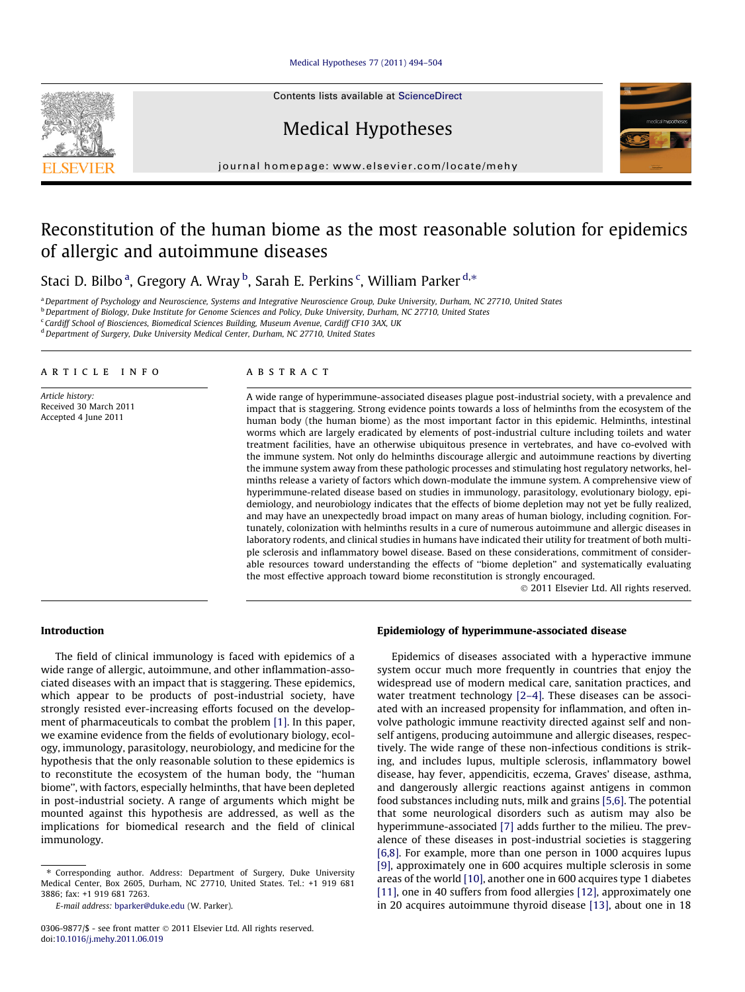## [Medical Hypotheses 77 \(2011\) 494–504](http://dx.doi.org/10.1016/j.mehy.2011.06.019)

Contents lists available at [ScienceDirect](http://www.sciencedirect.com/science/journal/03069877)

Medical Hypotheses

journal homepage: [www.elsevier.com/locate/mehy](http://www.elsevier.com/locate/mehy)

# Reconstitution of the human biome as the most reasonable solution for epidemics of allergic and autoimmune diseases

Staci D. Bilbo <sup>a</sup>, Gregory A. Wray <sup>b</sup>, Sarah E. Perkins <sup>c</sup>, William Parker <sup>d,</sup>\*

a Department of Psychology and Neuroscience, Systems and Integrative Neuroscience Group, Duke University, Durham, NC 27710, United States

<sup>b</sup> Department of Biology, Duke Institute for Genome Sciences and Policy, Duke University, Durham, NC 27710, United States

<sup>c</sup> Cardiff School of Biosciences, Biomedical Sciences Building, Museum Avenue, Cardiff CF10 3AX, UK

<sup>d</sup> Department of Surgery, Duke University Medical Center, Durham, NC 27710, United States

## article info

Article history: Received 30 March 2011 Accepted 4 June 2011

#### **ABSTRACT**

A wide range of hyperimmune-associated diseases plague post-industrial society, with a prevalence and impact that is staggering. Strong evidence points towards a loss of helminths from the ecosystem of the human body (the human biome) as the most important factor in this epidemic. Helminths, intestinal worms which are largely eradicated by elements of post-industrial culture including toilets and water treatment facilities, have an otherwise ubiquitous presence in vertebrates, and have co-evolved with the immune system. Not only do helminths discourage allergic and autoimmune reactions by diverting the immune system away from these pathologic processes and stimulating host regulatory networks, helminths release a variety of factors which down-modulate the immune system. A comprehensive view of hyperimmune-related disease based on studies in immunology, parasitology, evolutionary biology, epidemiology, and neurobiology indicates that the effects of biome depletion may not yet be fully realized, and may have an unexpectedly broad impact on many areas of human biology, including cognition. Fortunately, colonization with helminths results in a cure of numerous autoimmune and allergic diseases in laboratory rodents, and clinical studies in humans have indicated their utility for treatment of both multiple sclerosis and inflammatory bowel disease. Based on these considerations, commitment of considerable resources toward understanding the effects of ''biome depletion'' and systematically evaluating the most effective approach toward biome reconstitution is strongly encouraged.

 $©$  2011 Elsevier Ltd. All rights reserved.

# Introduction

The field of clinical immunology is faced with epidemics of a wide range of allergic, autoimmune, and other inflammation-associated diseases with an impact that is staggering. These epidemics, which appear to be products of post-industrial society, have strongly resisted ever-increasing efforts focused on the development of pharmaceuticals to combat the problem [\[1\].](#page-9-0) In this paper, we examine evidence from the fields of evolutionary biology, ecology, immunology, parasitology, neurobiology, and medicine for the hypothesis that the only reasonable solution to these epidemics is to reconstitute the ecosystem of the human body, the ''human biome'', with factors, especially helminths, that have been depleted in post-industrial society. A range of arguments which might be mounted against this hypothesis are addressed, as well as the implications for biomedical research and the field of clinical immunology.

⇑ Corresponding author. Address: Department of Surgery, Duke University Medical Center, Box 2605, Durham, NC 27710, United States. Tel.: +1 919 681 3886; fax: +1 919 681 7263.

E-mail address: [bparker@duke.edu](mailto:bparker@duke.edu) (W. Parker).

## Epidemiology of hyperimmune-associated disease

Epidemics of diseases associated with a hyperactive immune system occur much more frequently in countries that enjoy the widespread use of modern medical care, sanitation practices, and water treatment technology [\[2–4\]](#page-9-0). These diseases can be associated with an increased propensity for inflammation, and often involve pathologic immune reactivity directed against self and nonself antigens, producing autoimmune and allergic diseases, respectively. The wide range of these non-infectious conditions is striking, and includes lupus, multiple sclerosis, inflammatory bowel disease, hay fever, appendicitis, eczema, Graves' disease, asthma, and dangerously allergic reactions against antigens in common food substances including nuts, milk and grains [\[5,6\]](#page-9-0). The potential that some neurological disorders such as autism may also be hyperimmune-associated [\[7\]](#page-9-0) adds further to the milieu. The prevalence of these diseases in post-industrial societies is staggering [\[6,8\]](#page-9-0). For example, more than one person in 1000 acquires lupus [\[9\]](#page-9-0), approximately one in 600 acquires multiple sclerosis in some areas of the world [\[10\]](#page-9-0), another one in 600 acquires type 1 diabetes [\[11\]](#page-9-0), one in 40 suffers from food allergies [\[12\]](#page-9-0), approximately one in 20 acquires autoimmune thyroid disease [\[13\],](#page-9-0) about one in 18





<sup>0306-9877/\$ -</sup> see front matter @ 2011 Elsevier Ltd. All rights reserved. doi:[10.1016/j.mehy.2011.06.019](http://dx.doi.org/10.1016/j.mehy.2011.06.019)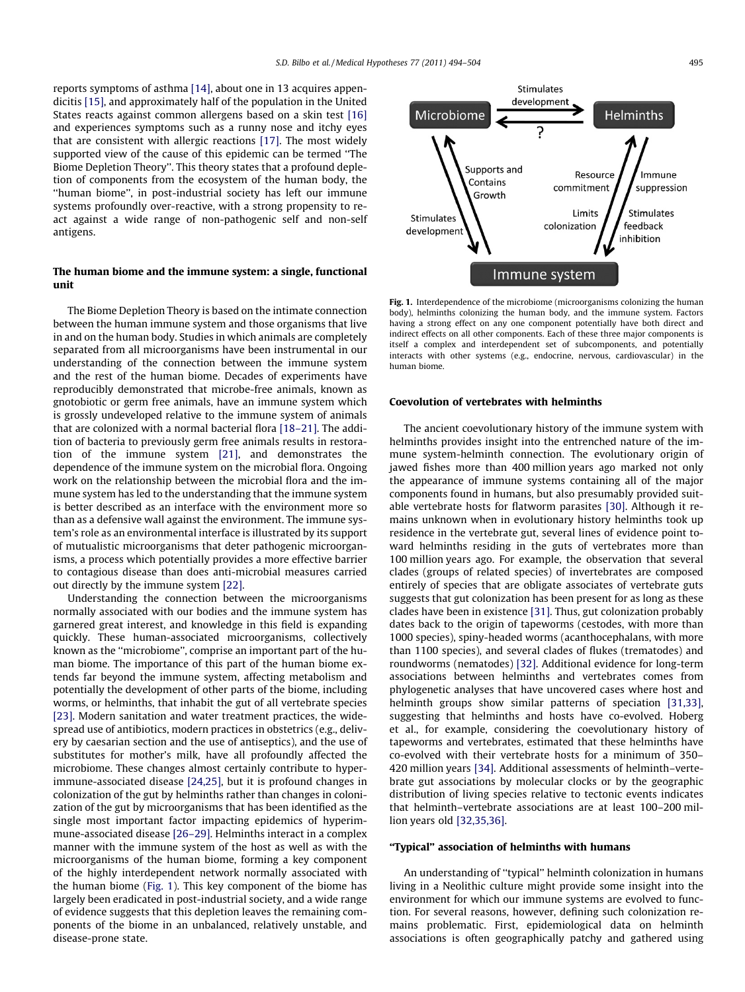reports symptoms of asthma [\[14\]](#page-9-0), about one in 13 acquires appendicitis [\[15\]](#page-9-0), and approximately half of the population in the United States reacts against common allergens based on a skin test [\[16\]](#page-9-0) and experiences symptoms such as a runny nose and itchy eyes that are consistent with allergic reactions [\[17\]](#page-9-0). The most widely supported view of the cause of this epidemic can be termed ''The Biome Depletion Theory''. This theory states that a profound depletion of components from the ecosystem of the human body, the "human biome", in post-industrial society has left our immune systems profoundly over-reactive, with a strong propensity to react against a wide range of non-pathogenic self and non-self antigens.

## The human biome and the immune system: a single, functional unit

The Biome Depletion Theory is based on the intimate connection between the human immune system and those organisms that live in and on the human body. Studies in which animals are completely separated from all microorganisms have been instrumental in our understanding of the connection between the immune system and the rest of the human biome. Decades of experiments have reproducibly demonstrated that microbe-free animals, known as gnotobiotic or germ free animals, have an immune system which is grossly undeveloped relative to the immune system of animals that are colonized with a normal bacterial flora [\[18–21\]](#page-9-0). The addition of bacteria to previously germ free animals results in restoration of the immune system [\[21\]](#page-9-0), and demonstrates the dependence of the immune system on the microbial flora. Ongoing work on the relationship between the microbial flora and the immune system has led to the understanding that the immune system is better described as an interface with the environment more so than as a defensive wall against the environment. The immune system's role as an environmental interface is illustrated by its support of mutualistic microorganisms that deter pathogenic microorganisms, a process which potentially provides a more effective barrier to contagious disease than does anti-microbial measures carried out directly by the immune system [\[22\].](#page-9-0)

Understanding the connection between the microorganisms normally associated with our bodies and the immune system has garnered great interest, and knowledge in this field is expanding quickly. These human-associated microorganisms, collectively known as the ''microbiome'', comprise an important part of the human biome. The importance of this part of the human biome extends far beyond the immune system, affecting metabolism and potentially the development of other parts of the biome, including worms, or helminths, that inhabit the gut of all vertebrate species [\[23\].](#page-9-0) Modern sanitation and water treatment practices, the widespread use of antibiotics, modern practices in obstetrics (e.g., delivery by caesarian section and the use of antiseptics), and the use of substitutes for mother's milk, have all profoundly affected the microbiome. These changes almost certainly contribute to hyperimmune-associated disease [\[24,25\],](#page-9-0) but it is profound changes in colonization of the gut by helminths rather than changes in colonization of the gut by microorganisms that has been identified as the single most important factor impacting epidemics of hyperimmune-associated disease [\[26–29\]](#page-9-0). Helminths interact in a complex manner with the immune system of the host as well as with the microorganisms of the human biome, forming a key component of the highly interdependent network normally associated with the human biome (Fig. 1). This key component of the biome has largely been eradicated in post-industrial society, and a wide range of evidence suggests that this depletion leaves the remaining components of the biome in an unbalanced, relatively unstable, and disease-prone state.



Fig. 1. Interdependence of the microbiome (microorganisms colonizing the human body), helminths colonizing the human body, and the immune system. Factors having a strong effect on any one component potentially have both direct and indirect effects on all other components. Each of these three major components is itself a complex and interdependent set of subcomponents, and potentially interacts with other systems (e.g., endocrine, nervous, cardiovascular) in the human biome.

### Coevolution of vertebrates with helminths

The ancient coevolutionary history of the immune system with helminths provides insight into the entrenched nature of the immune system-helminth connection. The evolutionary origin of jawed fishes more than 400 million years ago marked not only the appearance of immune systems containing all of the major components found in humans, but also presumably provided suitable vertebrate hosts for flatworm parasites [\[30\].](#page-9-0) Although it remains unknown when in evolutionary history helminths took up residence in the vertebrate gut, several lines of evidence point toward helminths residing in the guts of vertebrates more than 100 million years ago. For example, the observation that several clades (groups of related species) of invertebrates are composed entirely of species that are obligate associates of vertebrate guts suggests that gut colonization has been present for as long as these clades have been in existence [\[31\].](#page-9-0) Thus, gut colonization probably dates back to the origin of tapeworms (cestodes, with more than 1000 species), spiny-headed worms (acanthocephalans, with more than 1100 species), and several clades of flukes (trematodes) and roundworms (nematodes) [\[32\].](#page-9-0) Additional evidence for long-term associations between helminths and vertebrates comes from phylogenetic analyses that have uncovered cases where host and helminth groups show similar patterns of speciation [\[31,33\],](#page-9-0) suggesting that helminths and hosts have co-evolved. Hoberg et al., for example, considering the coevolutionary history of tapeworms and vertebrates, estimated that these helminths have co-evolved with their vertebrate hosts for a minimum of 350– 420 million years [\[34\].](#page-9-0) Additional assessments of helminth–vertebrate gut associations by molecular clocks or by the geographic distribution of living species relative to tectonic events indicates that helminth–vertebrate associations are at least 100–200 million years old [\[32,35,36\]](#page-9-0).

## ''Typical'' association of helminths with humans

An understanding of ''typical'' helminth colonization in humans living in a Neolithic culture might provide some insight into the environment for which our immune systems are evolved to function. For several reasons, however, defining such colonization remains problematic. First, epidemiological data on helminth associations is often geographically patchy and gathered using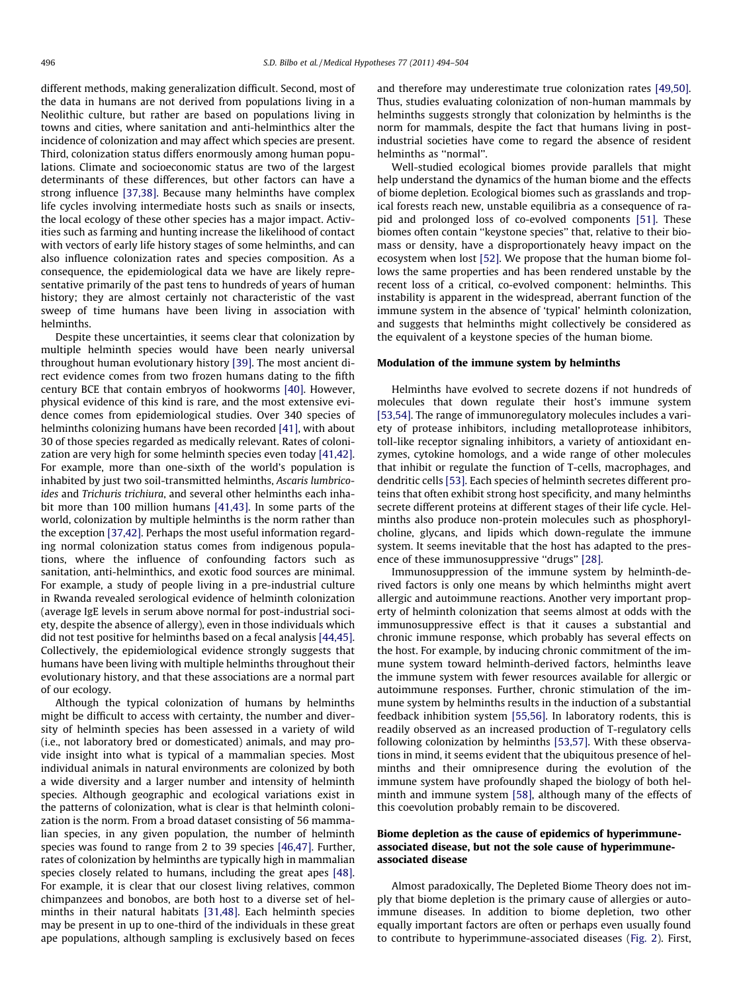different methods, making generalization difficult. Second, most of the data in humans are not derived from populations living in a Neolithic culture, but rather are based on populations living in towns and cities, where sanitation and anti-helminthics alter the incidence of colonization and may affect which species are present. Third, colonization status differs enormously among human populations. Climate and socioeconomic status are two of the largest determinants of these differences, but other factors can have a strong influence [\[37,38\]](#page-9-0). Because many helminths have complex life cycles involving intermediate hosts such as snails or insects, the local ecology of these other species has a major impact. Activities such as farming and hunting increase the likelihood of contact with vectors of early life history stages of some helminths, and can also influence colonization rates and species composition. As a consequence, the epidemiological data we have are likely representative primarily of the past tens to hundreds of years of human history; they are almost certainly not characteristic of the vast sweep of time humans have been living in association with helminths.

Despite these uncertainties, it seems clear that colonization by multiple helminth species would have been nearly universal throughout human evolutionary history [\[39\]](#page-9-0). The most ancient direct evidence comes from two frozen humans dating to the fifth century BCE that contain embryos of hookworms [\[40\].](#page-9-0) However, physical evidence of this kind is rare, and the most extensive evidence comes from epidemiological studies. Over 340 species of helminths colonizing humans have been recorded [\[41\]](#page-9-0), with about 30 of those species regarded as medically relevant. Rates of colonization are very high for some helminth species even today [\[41,42\].](#page-9-0) For example, more than one-sixth of the world's population is inhabited by just two soil-transmitted helminths, Ascaris lumbricoides and Trichuris trichiura, and several other helminths each inhabit more than 100 million humans [\[41,43\].](#page-9-0) In some parts of the world, colonization by multiple helminths is the norm rather than the exception [\[37,42\].](#page-9-0) Perhaps the most useful information regarding normal colonization status comes from indigenous populations, where the influence of confounding factors such as sanitation, anti-helminthics, and exotic food sources are minimal. For example, a study of people living in a pre-industrial culture in Rwanda revealed serological evidence of helminth colonization (average IgE levels in serum above normal for post-industrial society, despite the absence of allergy), even in those individuals which did not test positive for helminths based on a fecal analysis [\[44,45\].](#page-9-0) Collectively, the epidemiological evidence strongly suggests that humans have been living with multiple helminths throughout their evolutionary history, and that these associations are a normal part of our ecology.

Although the typical colonization of humans by helminths might be difficult to access with certainty, the number and diversity of helminth species has been assessed in a variety of wild (i.e., not laboratory bred or domesticated) animals, and may provide insight into what is typical of a mammalian species. Most individual animals in natural environments are colonized by both a wide diversity and a larger number and intensity of helminth species. Although geographic and ecological variations exist in the patterns of colonization, what is clear is that helminth colonization is the norm. From a broad dataset consisting of 56 mammalian species, in any given population, the number of helminth species was found to range from 2 to 39 species [\[46,47\].](#page-9-0) Further, rates of colonization by helminths are typically high in mammalian species closely related to humans, including the great apes [\[48\].](#page-9-0) For example, it is clear that our closest living relatives, common chimpanzees and bonobos, are both host to a diverse set of helminths in their natural habitats [\[31,48\]](#page-9-0). Each helminth species may be present in up to one-third of the individuals in these great ape populations, although sampling is exclusively based on feces

and therefore may underestimate true colonization rates [\[49,50\].](#page-9-0) Thus, studies evaluating colonization of non-human mammals by helminths suggests strongly that colonization by helminths is the norm for mammals, despite the fact that humans living in postindustrial societies have come to regard the absence of resident helminths as ''normal''.

Well-studied ecological biomes provide parallels that might help understand the dynamics of the human biome and the effects of biome depletion. Ecological biomes such as grasslands and tropical forests reach new, unstable equilibria as a consequence of rapid and prolonged loss of co-evolved components [\[51\]](#page-9-0). These biomes often contain ''keystone species'' that, relative to their biomass or density, have a disproportionately heavy impact on the ecosystem when lost [\[52\]](#page-9-0). We propose that the human biome follows the same properties and has been rendered unstable by the recent loss of a critical, co-evolved component: helminths. This instability is apparent in the widespread, aberrant function of the immune system in the absence of 'typical' helminth colonization, and suggests that helminths might collectively be considered as the equivalent of a keystone species of the human biome.

#### Modulation of the immune system by helminths

Helminths have evolved to secrete dozens if not hundreds of molecules that down regulate their host's immune system [\[53,54\].](#page-9-0) The range of immunoregulatory molecules includes a variety of protease inhibitors, including metalloprotease inhibitors, toll-like receptor signaling inhibitors, a variety of antioxidant enzymes, cytokine homologs, and a wide range of other molecules that inhibit or regulate the function of T-cells, macrophages, and dendritic cells [\[53\].](#page-9-0) Each species of helminth secretes different proteins that often exhibit strong host specificity, and many helminths secrete different proteins at different stages of their life cycle. Helminths also produce non-protein molecules such as phosphorylcholine, glycans, and lipids which down-regulate the immune system. It seems inevitable that the host has adapted to the pres-ence of these immunosuppressive "drugs" [\[28\].](#page-9-0)

Immunosuppression of the immune system by helminth-derived factors is only one means by which helminths might avert allergic and autoimmune reactions. Another very important property of helminth colonization that seems almost at odds with the immunosuppressive effect is that it causes a substantial and chronic immune response, which probably has several effects on the host. For example, by inducing chronic commitment of the immune system toward helminth-derived factors, helminths leave the immune system with fewer resources available for allergic or autoimmune responses. Further, chronic stimulation of the immune system by helminths results in the induction of a substantial feedback inhibition system [\[55,56\]](#page-9-0). In laboratory rodents, this is readily observed as an increased production of T-regulatory cells following colonization by helminths [\[53,57\]](#page-9-0). With these observations in mind, it seems evident that the ubiquitous presence of helminths and their omnipresence during the evolution of the immune system have profoundly shaped the biology of both helminth and immune system [\[58\]](#page-9-0), although many of the effects of this coevolution probably remain to be discovered.

# Biome depletion as the cause of epidemics of hyperimmuneassociated disease, but not the sole cause of hyperimmuneassociated disease

Almost paradoxically, The Depleted Biome Theory does not imply that biome depletion is the primary cause of allergies or autoimmune diseases. In addition to biome depletion, two other equally important factors are often or perhaps even usually found to contribute to hyperimmune-associated diseases [\(Fig. 2\)](#page-3-0). First,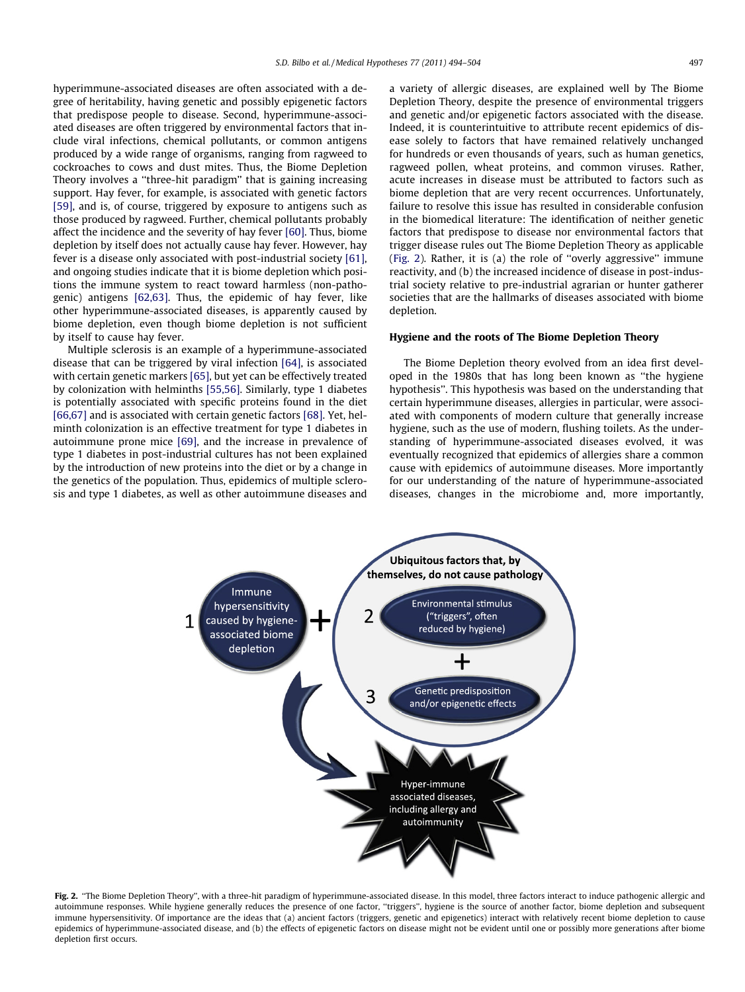<span id="page-3-0"></span>hyperimmune-associated diseases are often associated with a degree of heritability, having genetic and possibly epigenetic factors that predispose people to disease. Second, hyperimmune-associated diseases are often triggered by environmental factors that include viral infections, chemical pollutants, or common antigens produced by a wide range of organisms, ranging from ragweed to cockroaches to cows and dust mites. Thus, the Biome Depletion Theory involves a ''three-hit paradigm'' that is gaining increasing support. Hay fever, for example, is associated with genetic factors [\[59\],](#page-10-0) and is, of course, triggered by exposure to antigens such as those produced by ragweed. Further, chemical pollutants probably affect the incidence and the severity of hay fever [\[60\]](#page-10-0). Thus, biome depletion by itself does not actually cause hay fever. However, hay fever is a disease only associated with post-industrial society [\[61\],](#page-10-0) and ongoing studies indicate that it is biome depletion which positions the immune system to react toward harmless (non-pathogenic) antigens [\[62,63\]](#page-10-0). Thus, the epidemic of hay fever, like other hyperimmune-associated diseases, is apparently caused by biome depletion, even though biome depletion is not sufficient by itself to cause hay fever.

Multiple sclerosis is an example of a hyperimmune-associated disease that can be triggered by viral infection [\[64\],](#page-10-0) is associated with certain genetic markers [\[65\]](#page-10-0), but yet can be effectively treated by colonization with helminths [\[55,56\].](#page-9-0) Similarly, type 1 diabetes is potentially associated with specific proteins found in the diet [\[66,67\]](#page-10-0) and is associated with certain genetic factors [\[68\]](#page-10-0). Yet, helminth colonization is an effective treatment for type 1 diabetes in autoimmune prone mice [\[69\]](#page-10-0), and the increase in prevalence of type 1 diabetes in post-industrial cultures has not been explained by the introduction of new proteins into the diet or by a change in the genetics of the population. Thus, epidemics of multiple sclerosis and type 1 diabetes, as well as other autoimmune diseases and a variety of allergic diseases, are explained well by The Biome Depletion Theory, despite the presence of environmental triggers and genetic and/or epigenetic factors associated with the disease. Indeed, it is counterintuitive to attribute recent epidemics of disease solely to factors that have remained relatively unchanged for hundreds or even thousands of years, such as human genetics, ragweed pollen, wheat proteins, and common viruses. Rather, acute increases in disease must be attributed to factors such as biome depletion that are very recent occurrences. Unfortunately, failure to resolve this issue has resulted in considerable confusion in the biomedical literature: The identification of neither genetic factors that predispose to disease nor environmental factors that trigger disease rules out The Biome Depletion Theory as applicable (Fig. 2). Rather, it is (a) the role of ''overly aggressive'' immune reactivity, and (b) the increased incidence of disease in post-industrial society relative to pre-industrial agrarian or hunter gatherer societies that are the hallmarks of diseases associated with biome depletion.

# Hygiene and the roots of The Biome Depletion Theory

The Biome Depletion theory evolved from an idea first developed in the 1980s that has long been known as ''the hygiene hypothesis''. This hypothesis was based on the understanding that certain hyperimmune diseases, allergies in particular, were associated with components of modern culture that generally increase hygiene, such as the use of modern, flushing toilets. As the understanding of hyperimmune-associated diseases evolved, it was eventually recognized that epidemics of allergies share a common cause with epidemics of autoimmune diseases. More importantly for our understanding of the nature of hyperimmune-associated diseases, changes in the microbiome and, more importantly,



Fig. 2. "The Biome Depletion Theory", with a three-hit paradigm of hyperimmune-associated disease. In this model, three factors interact to induce pathogenic allergic and autoimmune responses. While hygiene generally reduces the presence of one factor, ''triggers'', hygiene is the source of another factor, biome depletion and subsequent immune hypersensitivity. Of importance are the ideas that (a) ancient factors (triggers, genetic and epigenetics) interact with relatively recent biome depletion to cause epidemics of hyperimmune-associated disease, and (b) the effects of epigenetic factors on disease might not be evident until one or possibly more generations after biome depletion first occurs.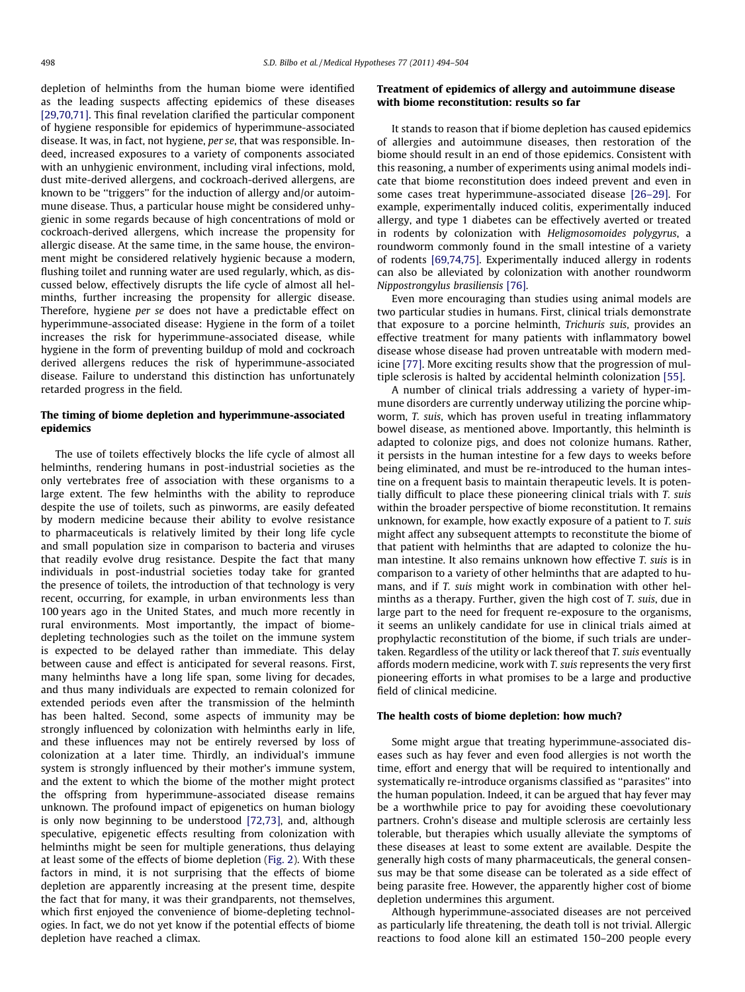depletion of helminths from the human biome were identified as the leading suspects affecting epidemics of these diseases [\[29,70,71\].](#page-9-0) This final revelation clarified the particular component of hygiene responsible for epidemics of hyperimmune-associated disease. It was, in fact, not hygiene, per se, that was responsible. Indeed, increased exposures to a variety of components associated with an unhygienic environment, including viral infections, mold, dust mite-derived allergens, and cockroach-derived allergens, are known to be ''triggers'' for the induction of allergy and/or autoimmune disease. Thus, a particular house might be considered unhygienic in some regards because of high concentrations of mold or cockroach-derived allergens, which increase the propensity for allergic disease. At the same time, in the same house, the environment might be considered relatively hygienic because a modern, flushing toilet and running water are used regularly, which, as discussed below, effectively disrupts the life cycle of almost all helminths, further increasing the propensity for allergic disease. Therefore, hygiene per se does not have a predictable effect on hyperimmune-associated disease: Hygiene in the form of a toilet increases the risk for hyperimmune-associated disease, while hygiene in the form of preventing buildup of mold and cockroach derived allergens reduces the risk of hyperimmune-associated disease. Failure to understand this distinction has unfortunately retarded progress in the field.

## The timing of biome depletion and hyperimmune-associated epidemics

The use of toilets effectively blocks the life cycle of almost all helminths, rendering humans in post-industrial societies as the only vertebrates free of association with these organisms to a large extent. The few helminths with the ability to reproduce despite the use of toilets, such as pinworms, are easily defeated by modern medicine because their ability to evolve resistance to pharmaceuticals is relatively limited by their long life cycle and small population size in comparison to bacteria and viruses that readily evolve drug resistance. Despite the fact that many individuals in post-industrial societies today take for granted the presence of toilets, the introduction of that technology is very recent, occurring, for example, in urban environments less than 100 years ago in the United States, and much more recently in rural environments. Most importantly, the impact of biomedepleting technologies such as the toilet on the immune system is expected to be delayed rather than immediate. This delay between cause and effect is anticipated for several reasons. First, many helminths have a long life span, some living for decades, and thus many individuals are expected to remain colonized for extended periods even after the transmission of the helminth has been halted. Second, some aspects of immunity may be strongly influenced by colonization with helminths early in life, and these influences may not be entirely reversed by loss of colonization at a later time. Thirdly, an individual's immune system is strongly influenced by their mother's immune system, and the extent to which the biome of the mother might protect the offspring from hyperimmune-associated disease remains unknown. The profound impact of epigenetics on human biology is only now beginning to be understood [\[72,73\]](#page-10-0), and, although speculative, epigenetic effects resulting from colonization with helminths might be seen for multiple generations, thus delaying at least some of the effects of biome depletion [\(Fig. 2\)](#page-3-0). With these factors in mind, it is not surprising that the effects of biome depletion are apparently increasing at the present time, despite the fact that for many, it was their grandparents, not themselves, which first enjoyed the convenience of biome-depleting technologies. In fact, we do not yet know if the potential effects of biome depletion have reached a climax.

# Treatment of epidemics of allergy and autoimmune disease with biome reconstitution: results so far

It stands to reason that if biome depletion has caused epidemics of allergies and autoimmune diseases, then restoration of the biome should result in an end of those epidemics. Consistent with this reasoning, a number of experiments using animal models indicate that biome reconstitution does indeed prevent and even in some cases treat hyperimmune-associated disease [\[26–29\]](#page-9-0). For example, experimentally induced colitis, experimentally induced allergy, and type 1 diabetes can be effectively averted or treated in rodents by colonization with Heligmosomoides polygyrus, a roundworm commonly found in the small intestine of a variety of rodents [\[69,74,75\]](#page-10-0). Experimentally induced allergy in rodents can also be alleviated by colonization with another roundworm Nippostrongylus brasiliensis [\[76\].](#page-10-0)

Even more encouraging than studies using animal models are two particular studies in humans. First, clinical trials demonstrate that exposure to a porcine helminth, Trichuris suis, provides an effective treatment for many patients with inflammatory bowel disease whose disease had proven untreatable with modern medicine [\[77\]](#page-10-0). More exciting results show that the progression of multiple sclerosis is halted by accidental helminth colonization [\[55\]](#page-9-0).

A number of clinical trials addressing a variety of hyper-immune disorders are currently underway utilizing the porcine whipworm, T. suis, which has proven useful in treating inflammatory bowel disease, as mentioned above. Importantly, this helminth is adapted to colonize pigs, and does not colonize humans. Rather, it persists in the human intestine for a few days to weeks before being eliminated, and must be re-introduced to the human intestine on a frequent basis to maintain therapeutic levels. It is potentially difficult to place these pioneering clinical trials with T. suis within the broader perspective of biome reconstitution. It remains unknown, for example, how exactly exposure of a patient to T. suis might affect any subsequent attempts to reconstitute the biome of that patient with helminths that are adapted to colonize the human intestine. It also remains unknown how effective T. suis is in comparison to a variety of other helminths that are adapted to humans, and if T. suis might work in combination with other helminths as a therapy. Further, given the high cost of T. suis, due in large part to the need for frequent re-exposure to the organisms, it seems an unlikely candidate for use in clinical trials aimed at prophylactic reconstitution of the biome, if such trials are undertaken. Regardless of the utility or lack thereof that T. suis eventually affords modern medicine, work with T. suis represents the very first pioneering efforts in what promises to be a large and productive field of clinical medicine.

## The health costs of biome depletion: how much?

Some might argue that treating hyperimmune-associated diseases such as hay fever and even food allergies is not worth the time, effort and energy that will be required to intentionally and systematically re-introduce organisms classified as ''parasites'' into the human population. Indeed, it can be argued that hay fever may be a worthwhile price to pay for avoiding these coevolutionary partners. Crohn's disease and multiple sclerosis are certainly less tolerable, but therapies which usually alleviate the symptoms of these diseases at least to some extent are available. Despite the generally high costs of many pharmaceuticals, the general consensus may be that some disease can be tolerated as a side effect of being parasite free. However, the apparently higher cost of biome depletion undermines this argument.

Although hyperimmune-associated diseases are not perceived as particularly life threatening, the death toll is not trivial. Allergic reactions to food alone kill an estimated 150–200 people every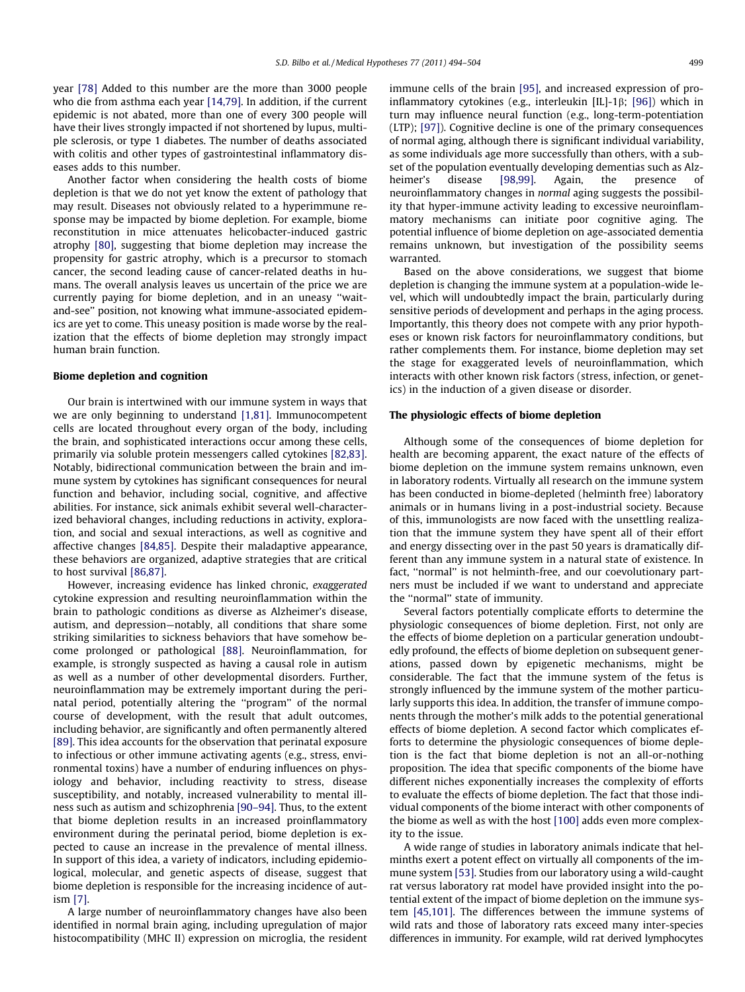year [\[78\]](#page-10-0) Added to this number are the more than 3000 people who die from asthma each year [\[14,79\].](#page-9-0) In addition, if the current epidemic is not abated, more than one of every 300 people will have their lives strongly impacted if not shortened by lupus, multiple sclerosis, or type 1 diabetes. The number of deaths associated with colitis and other types of gastrointestinal inflammatory diseases adds to this number.

Another factor when considering the health costs of biome depletion is that we do not yet know the extent of pathology that may result. Diseases not obviously related to a hyperimmune response may be impacted by biome depletion. For example, biome reconstitution in mice attenuates helicobacter-induced gastric atrophy [\[80\]](#page-10-0), suggesting that biome depletion may increase the propensity for gastric atrophy, which is a precursor to stomach cancer, the second leading cause of cancer-related deaths in humans. The overall analysis leaves us uncertain of the price we are currently paying for biome depletion, and in an uneasy ''waitand-see'' position, not knowing what immune-associated epidemics are yet to come. This uneasy position is made worse by the realization that the effects of biome depletion may strongly impact human brain function.

## Biome depletion and cognition

Our brain is intertwined with our immune system in ways that we are only beginning to understand [\[1,81\]](#page-9-0). Immunocompetent cells are located throughout every organ of the body, including the brain, and sophisticated interactions occur among these cells, primarily via soluble protein messengers called cytokines [\[82,83\].](#page-10-0) Notably, bidirectional communication between the brain and immune system by cytokines has significant consequences for neural function and behavior, including social, cognitive, and affective abilities. For instance, sick animals exhibit several well-characterized behavioral changes, including reductions in activity, exploration, and social and sexual interactions, as well as cognitive and affective changes [\[84,85\]](#page-10-0). Despite their maladaptive appearance, these behaviors are organized, adaptive strategies that are critical to host survival [\[86,87\]](#page-10-0).

However, increasing evidence has linked chronic, exaggerated cytokine expression and resulting neuroinflammation within the brain to pathologic conditions as diverse as Alzheimer's disease, autism, and depression—notably, all conditions that share some striking similarities to sickness behaviors that have somehow become prolonged or pathological [\[88\]](#page-10-0). Neuroinflammation, for example, is strongly suspected as having a causal role in autism as well as a number of other developmental disorders. Further, neuroinflammation may be extremely important during the perinatal period, potentially altering the ''program'' of the normal course of development, with the result that adult outcomes, including behavior, are significantly and often permanently altered [\[89\].](#page-10-0) This idea accounts for the observation that perinatal exposure to infectious or other immune activating agents (e.g., stress, environmental toxins) have a number of enduring influences on physiology and behavior, including reactivity to stress, disease susceptibility, and notably, increased vulnerability to mental illness such as autism and schizophrenia [\[90–94\]](#page-10-0). Thus, to the extent that biome depletion results in an increased proinflammatory environment during the perinatal period, biome depletion is expected to cause an increase in the prevalence of mental illness. In support of this idea, a variety of indicators, including epidemiological, molecular, and genetic aspects of disease, suggest that biome depletion is responsible for the increasing incidence of autism [\[7\].](#page-9-0)

A large number of neuroinflammatory changes have also been identified in normal brain aging, including upregulation of major histocompatibility (MHC II) expression on microglia, the resident immune cells of the brain [\[95\],](#page-10-0) and increased expression of proinflammatory cytokines (e.g., interleukin  $[IL]-1\beta$ ; [\[96\]](#page-10-0)) which in turn may influence neural function (e.g., long-term-potentiation (LTP); [\[97\]\)](#page-10-0). Cognitive decline is one of the primary consequences of normal aging, although there is significant individual variability, as some individuals age more successfully than others, with a subset of the population eventually developing dementias such as Alzheimer's disease [\[98,99\].](#page-10-0) Again, the presence of neuroinflammatory changes in normal aging suggests the possibility that hyper-immune activity leading to excessive neuroinflammatory mechanisms can initiate poor cognitive aging. The potential influence of biome depletion on age-associated dementia remains unknown, but investigation of the possibility seems warranted.

Based on the above considerations, we suggest that biome depletion is changing the immune system at a population-wide level, which will undoubtedly impact the brain, particularly during sensitive periods of development and perhaps in the aging process. Importantly, this theory does not compete with any prior hypotheses or known risk factors for neuroinflammatory conditions, but rather complements them. For instance, biome depletion may set the stage for exaggerated levels of neuroinflammation, which interacts with other known risk factors (stress, infection, or genetics) in the induction of a given disease or disorder.

#### The physiologic effects of biome depletion

Although some of the consequences of biome depletion for health are becoming apparent, the exact nature of the effects of biome depletion on the immune system remains unknown, even in laboratory rodents. Virtually all research on the immune system has been conducted in biome-depleted (helminth free) laboratory animals or in humans living in a post-industrial society. Because of this, immunologists are now faced with the unsettling realization that the immune system they have spent all of their effort and energy dissecting over in the past 50 years is dramatically different than any immune system in a natural state of existence. In fact, ''normal'' is not helminth-free, and our coevolutionary partners must be included if we want to understand and appreciate the ''normal'' state of immunity.

Several factors potentially complicate efforts to determine the physiologic consequences of biome depletion. First, not only are the effects of biome depletion on a particular generation undoubtedly profound, the effects of biome depletion on subsequent generations, passed down by epigenetic mechanisms, might be considerable. The fact that the immune system of the fetus is strongly influenced by the immune system of the mother particularly supports this idea. In addition, the transfer of immune components through the mother's milk adds to the potential generational effects of biome depletion. A second factor which complicates efforts to determine the physiologic consequences of biome depletion is the fact that biome depletion is not an all-or-nothing proposition. The idea that specific components of the biome have different niches exponentially increases the complexity of efforts to evaluate the effects of biome depletion. The fact that those individual components of the biome interact with other components of the biome as well as with the host [\[100\]](#page-10-0) adds even more complexity to the issue.

A wide range of studies in laboratory animals indicate that helminths exert a potent effect on virtually all components of the immune system [\[53\]](#page-9-0). Studies from our laboratory using a wild-caught rat versus laboratory rat model have provided insight into the potential extent of the impact of biome depletion on the immune system [\[45,101\]](#page-9-0). The differences between the immune systems of wild rats and those of laboratory rats exceed many inter-species differences in immunity. For example, wild rat derived lymphocytes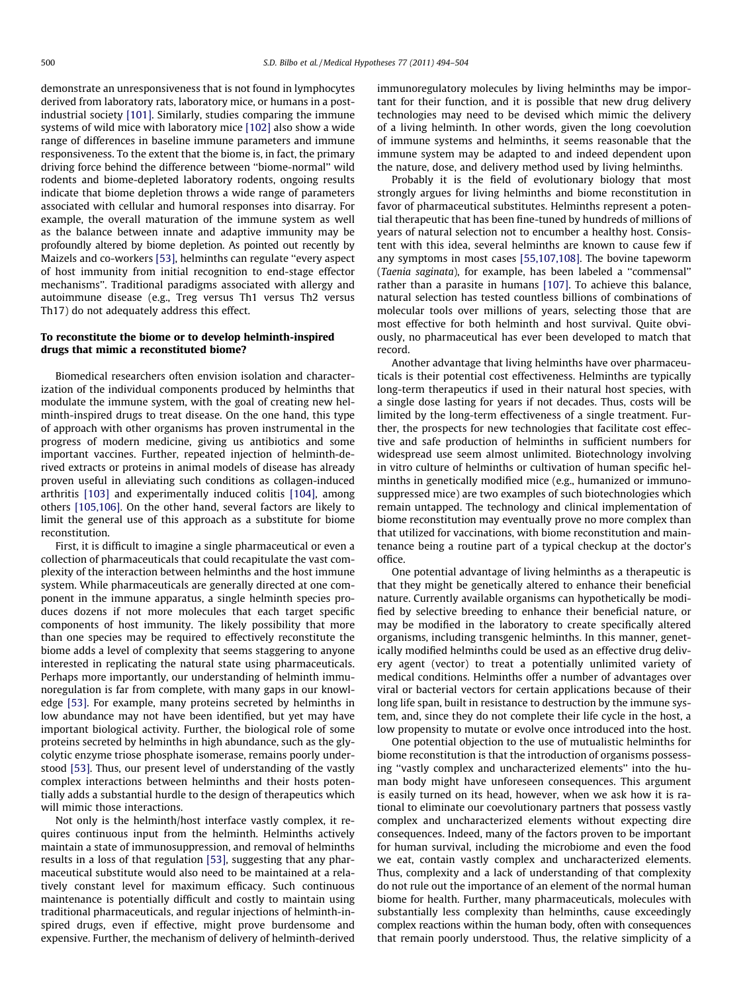demonstrate an unresponsiveness that is not found in lymphocytes derived from laboratory rats, laboratory mice, or humans in a postindustrial society [\[101\]](#page-10-0). Similarly, studies comparing the immune systems of wild mice with laboratory mice [\[102\]](#page-10-0) also show a wide range of differences in baseline immune parameters and immune responsiveness. To the extent that the biome is, in fact, the primary driving force behind the difference between ''biome-normal'' wild rodents and biome-depleted laboratory rodents, ongoing results indicate that biome depletion throws a wide range of parameters associated with cellular and humoral responses into disarray. For example, the overall maturation of the immune system as well as the balance between innate and adaptive immunity may be profoundly altered by biome depletion. As pointed out recently by Maizels and co-workers [\[53\]](#page-9-0), helminths can regulate ''every aspect of host immunity from initial recognition to end-stage effector mechanisms''. Traditional paradigms associated with allergy and autoimmune disease (e.g., Treg versus Th1 versus Th2 versus Th17) do not adequately address this effect.

# To reconstitute the biome or to develop helminth-inspired drugs that mimic a reconstituted biome?

Biomedical researchers often envision isolation and characterization of the individual components produced by helminths that modulate the immune system, with the goal of creating new helminth-inspired drugs to treat disease. On the one hand, this type of approach with other organisms has proven instrumental in the progress of modern medicine, giving us antibiotics and some important vaccines. Further, repeated injection of helminth-derived extracts or proteins in animal models of disease has already proven useful in alleviating such conditions as collagen-induced arthritis [\[103\]](#page-10-0) and experimentally induced colitis [\[104\]](#page-10-0), among others [\[105,106\]](#page-10-0). On the other hand, several factors are likely to limit the general use of this approach as a substitute for biome reconstitution.

First, it is difficult to imagine a single pharmaceutical or even a collection of pharmaceuticals that could recapitulate the vast complexity of the interaction between helminths and the host immune system. While pharmaceuticals are generally directed at one component in the immune apparatus, a single helminth species produces dozens if not more molecules that each target specific components of host immunity. The likely possibility that more than one species may be required to effectively reconstitute the biome adds a level of complexity that seems staggering to anyone interested in replicating the natural state using pharmaceuticals. Perhaps more importantly, our understanding of helminth immunoregulation is far from complete, with many gaps in our knowledge [\[53\]](#page-9-0). For example, many proteins secreted by helminths in low abundance may not have been identified, but yet may have important biological activity. Further, the biological role of some proteins secreted by helminths in high abundance, such as the glycolytic enzyme triose phosphate isomerase, remains poorly understood [\[53\].](#page-9-0) Thus, our present level of understanding of the vastly complex interactions between helminths and their hosts potentially adds a substantial hurdle to the design of therapeutics which will mimic those interactions.

Not only is the helminth/host interface vastly complex, it requires continuous input from the helminth. Helminths actively maintain a state of immunosuppression, and removal of helminths results in a loss of that regulation [\[53\],](#page-9-0) suggesting that any pharmaceutical substitute would also need to be maintained at a relatively constant level for maximum efficacy. Such continuous maintenance is potentially difficult and costly to maintain using traditional pharmaceuticals, and regular injections of helminth-inspired drugs, even if effective, might prove burdensome and expensive. Further, the mechanism of delivery of helminth-derived immunoregulatory molecules by living helminths may be important for their function, and it is possible that new drug delivery technologies may need to be devised which mimic the delivery of a living helminth. In other words, given the long coevolution of immune systems and helminths, it seems reasonable that the immune system may be adapted to and indeed dependent upon the nature, dose, and delivery method used by living helminths.

Probably it is the field of evolutionary biology that most strongly argues for living helminths and biome reconstitution in favor of pharmaceutical substitutes. Helminths represent a potential therapeutic that has been fine-tuned by hundreds of millions of years of natural selection not to encumber a healthy host. Consistent with this idea, several helminths are known to cause few if any symptoms in most cases [\[55,107,108\].](#page-9-0) The bovine tapeworm (Taenia saginata), for example, has been labeled a ''commensal'' rather than a parasite in humans [\[107\].](#page-10-0) To achieve this balance, natural selection has tested countless billions of combinations of molecular tools over millions of years, selecting those that are most effective for both helminth and host survival. Quite obviously, no pharmaceutical has ever been developed to match that record.

Another advantage that living helminths have over pharmaceuticals is their potential cost effectiveness. Helminths are typically long-term therapeutics if used in their natural host species, with a single dose lasting for years if not decades. Thus, costs will be limited by the long-term effectiveness of a single treatment. Further, the prospects for new technologies that facilitate cost effective and safe production of helminths in sufficient numbers for widespread use seem almost unlimited. Biotechnology involving in vitro culture of helminths or cultivation of human specific helminths in genetically modified mice (e.g., humanized or immunosuppressed mice) are two examples of such biotechnologies which remain untapped. The technology and clinical implementation of biome reconstitution may eventually prove no more complex than that utilized for vaccinations, with biome reconstitution and maintenance being a routine part of a typical checkup at the doctor's office.

One potential advantage of living helminths as a therapeutic is that they might be genetically altered to enhance their beneficial nature. Currently available organisms can hypothetically be modified by selective breeding to enhance their beneficial nature, or may be modified in the laboratory to create specifically altered organisms, including transgenic helminths. In this manner, genetically modified helminths could be used as an effective drug delivery agent (vector) to treat a potentially unlimited variety of medical conditions. Helminths offer a number of advantages over viral or bacterial vectors for certain applications because of their long life span, built in resistance to destruction by the immune system, and, since they do not complete their life cycle in the host, a low propensity to mutate or evolve once introduced into the host.

One potential objection to the use of mutualistic helminths for biome reconstitution is that the introduction of organisms possessing ''vastly complex and uncharacterized elements'' into the human body might have unforeseen consequences. This argument is easily turned on its head, however, when we ask how it is rational to eliminate our coevolutionary partners that possess vastly complex and uncharacterized elements without expecting dire consequences. Indeed, many of the factors proven to be important for human survival, including the microbiome and even the food we eat, contain vastly complex and uncharacterized elements. Thus, complexity and a lack of understanding of that complexity do not rule out the importance of an element of the normal human biome for health. Further, many pharmaceuticals, molecules with substantially less complexity than helminths, cause exceedingly complex reactions within the human body, often with consequences that remain poorly understood. Thus, the relative simplicity of a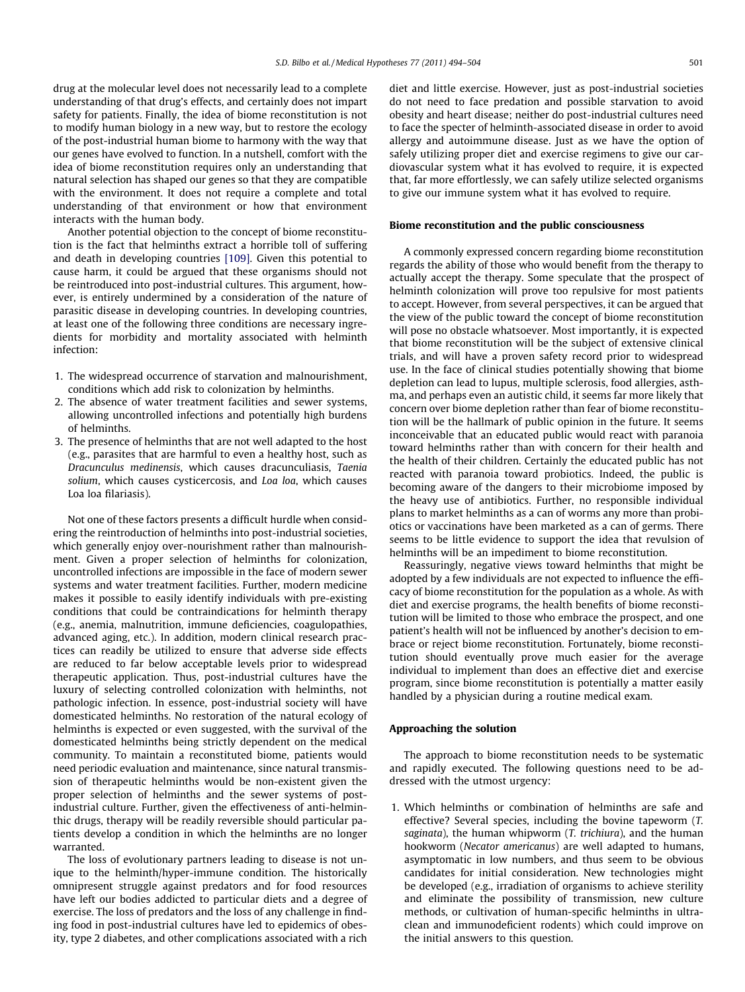drug at the molecular level does not necessarily lead to a complete understanding of that drug's effects, and certainly does not impart safety for patients. Finally, the idea of biome reconstitution is not to modify human biology in a new way, but to restore the ecology of the post-industrial human biome to harmony with the way that our genes have evolved to function. In a nutshell, comfort with the idea of biome reconstitution requires only an understanding that natural selection has shaped our genes so that they are compatible with the environment. It does not require a complete and total understanding of that environment or how that environment interacts with the human body.

Another potential objection to the concept of biome reconstitution is the fact that helminths extract a horrible toll of suffering and death in developing countries [\[109\].](#page-10-0) Given this potential to cause harm, it could be argued that these organisms should not be reintroduced into post-industrial cultures. This argument, however, is entirely undermined by a consideration of the nature of parasitic disease in developing countries. In developing countries, at least one of the following three conditions are necessary ingredients for morbidity and mortality associated with helminth infection:

- 1. The widespread occurrence of starvation and malnourishment, conditions which add risk to colonization by helminths.
- 2. The absence of water treatment facilities and sewer systems, allowing uncontrolled infections and potentially high burdens of helminths.
- 3. The presence of helminths that are not well adapted to the host (e.g., parasites that are harmful to even a healthy host, such as Dracunculus medinensis, which causes dracunculiasis, Taenia solium, which causes cysticercosis, and Loa loa, which causes Loa loa filariasis).

Not one of these factors presents a difficult hurdle when considering the reintroduction of helminths into post-industrial societies, which generally enjoy over-nourishment rather than malnourishment. Given a proper selection of helminths for colonization, uncontrolled infections are impossible in the face of modern sewer systems and water treatment facilities. Further, modern medicine makes it possible to easily identify individuals with pre-existing conditions that could be contraindications for helminth therapy (e.g., anemia, malnutrition, immune deficiencies, coagulopathies, advanced aging, etc.). In addition, modern clinical research practices can readily be utilized to ensure that adverse side effects are reduced to far below acceptable levels prior to widespread therapeutic application. Thus, post-industrial cultures have the luxury of selecting controlled colonization with helminths, not pathologic infection. In essence, post-industrial society will have domesticated helminths. No restoration of the natural ecology of helminths is expected or even suggested, with the survival of the domesticated helminths being strictly dependent on the medical community. To maintain a reconstituted biome, patients would need periodic evaluation and maintenance, since natural transmission of therapeutic helminths would be non-existent given the proper selection of helminths and the sewer systems of postindustrial culture. Further, given the effectiveness of anti-helminthic drugs, therapy will be readily reversible should particular patients develop a condition in which the helminths are no longer warranted.

The loss of evolutionary partners leading to disease is not unique to the helminth/hyper-immune condition. The historically omnipresent struggle against predators and for food resources have left our bodies addicted to particular diets and a degree of exercise. The loss of predators and the loss of any challenge in finding food in post-industrial cultures have led to epidemics of obesity, type 2 diabetes, and other complications associated with a rich diet and little exercise. However, just as post-industrial societies do not need to face predation and possible starvation to avoid obesity and heart disease; neither do post-industrial cultures need to face the specter of helminth-associated disease in order to avoid allergy and autoimmune disease. Just as we have the option of safely utilizing proper diet and exercise regimens to give our cardiovascular system what it has evolved to require, it is expected that, far more effortlessly, we can safely utilize selected organisms to give our immune system what it has evolved to require.

## Biome reconstitution and the public consciousness

A commonly expressed concern regarding biome reconstitution regards the ability of those who would benefit from the therapy to actually accept the therapy. Some speculate that the prospect of helminth colonization will prove too repulsive for most patients to accept. However, from several perspectives, it can be argued that the view of the public toward the concept of biome reconstitution will pose no obstacle whatsoever. Most importantly, it is expected that biome reconstitution will be the subject of extensive clinical trials, and will have a proven safety record prior to widespread use. In the face of clinical studies potentially showing that biome depletion can lead to lupus, multiple sclerosis, food allergies, asthma, and perhaps even an autistic child, it seems far more likely that concern over biome depletion rather than fear of biome reconstitution will be the hallmark of public opinion in the future. It seems inconceivable that an educated public would react with paranoia toward helminths rather than with concern for their health and the health of their children. Certainly the educated public has not reacted with paranoia toward probiotics. Indeed, the public is becoming aware of the dangers to their microbiome imposed by the heavy use of antibiotics. Further, no responsible individual plans to market helminths as a can of worms any more than probiotics or vaccinations have been marketed as a can of germs. There seems to be little evidence to support the idea that revulsion of helminths will be an impediment to biome reconstitution.

Reassuringly, negative views toward helminths that might be adopted by a few individuals are not expected to influence the efficacy of biome reconstitution for the population as a whole. As with diet and exercise programs, the health benefits of biome reconstitution will be limited to those who embrace the prospect, and one patient's health will not be influenced by another's decision to embrace or reject biome reconstitution. Fortunately, biome reconstitution should eventually prove much easier for the average individual to implement than does an effective diet and exercise program, since biome reconstitution is potentially a matter easily handled by a physician during a routine medical exam.

## Approaching the solution

The approach to biome reconstitution needs to be systematic and rapidly executed. The following questions need to be addressed with the utmost urgency:

1. Which helminths or combination of helminths are safe and effective? Several species, including the bovine tapeworm (T. saginata), the human whipworm (*T. trichiura*), and the human hookworm (Necator americanus) are well adapted to humans, asymptomatic in low numbers, and thus seem to be obvious candidates for initial consideration. New technologies might be developed (e.g., irradiation of organisms to achieve sterility and eliminate the possibility of transmission, new culture methods, or cultivation of human-specific helminths in ultraclean and immunodeficient rodents) which could improve on the initial answers to this question.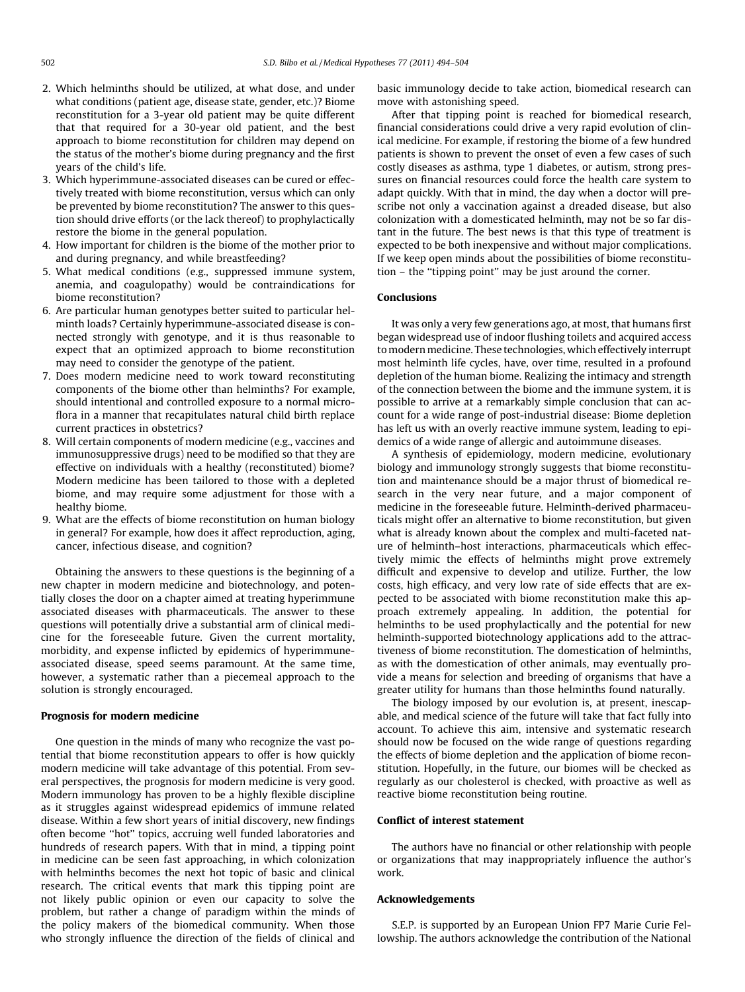- 2. Which helminths should be utilized, at what dose, and under what conditions (patient age, disease state, gender, etc.)? Biome reconstitution for a 3-year old patient may be quite different that that required for a 30-year old patient, and the best approach to biome reconstitution for children may depend on the status of the mother's biome during pregnancy and the first years of the child's life.
- 3. Which hyperimmune-associated diseases can be cured or effectively treated with biome reconstitution, versus which can only be prevented by biome reconstitution? The answer to this question should drive efforts (or the lack thereof) to prophylactically restore the biome in the general population.
- 4. How important for children is the biome of the mother prior to and during pregnancy, and while breastfeeding?
- 5. What medical conditions (e.g., suppressed immune system, anemia, and coagulopathy) would be contraindications for biome reconstitution?
- 6. Are particular human genotypes better suited to particular helminth loads? Certainly hyperimmune-associated disease is connected strongly with genotype, and it is thus reasonable to expect that an optimized approach to biome reconstitution may need to consider the genotype of the patient.
- 7. Does modern medicine need to work toward reconstituting components of the biome other than helminths? For example, should intentional and controlled exposure to a normal microflora in a manner that recapitulates natural child birth replace current practices in obstetrics?
- 8. Will certain components of modern medicine (e.g., vaccines and immunosuppressive drugs) need to be modified so that they are effective on individuals with a healthy (reconstituted) biome? Modern medicine has been tailored to those with a depleted biome, and may require some adjustment for those with a healthy biome.
- 9. What are the effects of biome reconstitution on human biology in general? For example, how does it affect reproduction, aging, cancer, infectious disease, and cognition?

Obtaining the answers to these questions is the beginning of a new chapter in modern medicine and biotechnology, and potentially closes the door on a chapter aimed at treating hyperimmune associated diseases with pharmaceuticals. The answer to these questions will potentially drive a substantial arm of clinical medicine for the foreseeable future. Given the current mortality, morbidity, and expense inflicted by epidemics of hyperimmuneassociated disease, speed seems paramount. At the same time, however, a systematic rather than a piecemeal approach to the solution is strongly encouraged.

## Prognosis for modern medicine

One question in the minds of many who recognize the vast potential that biome reconstitution appears to offer is how quickly modern medicine will take advantage of this potential. From several perspectives, the prognosis for modern medicine is very good. Modern immunology has proven to be a highly flexible discipline as it struggles against widespread epidemics of immune related disease. Within a few short years of initial discovery, new findings often become ''hot'' topics, accruing well funded laboratories and hundreds of research papers. With that in mind, a tipping point in medicine can be seen fast approaching, in which colonization with helminths becomes the next hot topic of basic and clinical research. The critical events that mark this tipping point are not likely public opinion or even our capacity to solve the problem, but rather a change of paradigm within the minds of the policy makers of the biomedical community. When those who strongly influence the direction of the fields of clinical and basic immunology decide to take action, biomedical research can move with astonishing speed.

After that tipping point is reached for biomedical research, financial considerations could drive a very rapid evolution of clinical medicine. For example, if restoring the biome of a few hundred patients is shown to prevent the onset of even a few cases of such costly diseases as asthma, type 1 diabetes, or autism, strong pressures on financial resources could force the health care system to adapt quickly. With that in mind, the day when a doctor will prescribe not only a vaccination against a dreaded disease, but also colonization with a domesticated helminth, may not be so far distant in the future. The best news is that this type of treatment is expected to be both inexpensive and without major complications. If we keep open minds about the possibilities of biome reconstitution – the "tipping point" may be just around the corner.

# Conclusions

It was only a very few generations ago, at most, that humans first began widespread use of indoor flushing toilets and acquired access to modern medicine. These technologies, which effectively interrupt most helminth life cycles, have, over time, resulted in a profound depletion of the human biome. Realizing the intimacy and strength of the connection between the biome and the immune system, it is possible to arrive at a remarkably simple conclusion that can account for a wide range of post-industrial disease: Biome depletion has left us with an overly reactive immune system, leading to epidemics of a wide range of allergic and autoimmune diseases.

A synthesis of epidemiology, modern medicine, evolutionary biology and immunology strongly suggests that biome reconstitution and maintenance should be a major thrust of biomedical research in the very near future, and a major component of medicine in the foreseeable future. Helminth-derived pharmaceuticals might offer an alternative to biome reconstitution, but given what is already known about the complex and multi-faceted nature of helminth–host interactions, pharmaceuticals which effectively mimic the effects of helminths might prove extremely difficult and expensive to develop and utilize. Further, the low costs, high efficacy, and very low rate of side effects that are expected to be associated with biome reconstitution make this approach extremely appealing. In addition, the potential for helminths to be used prophylactically and the potential for new helminth-supported biotechnology applications add to the attractiveness of biome reconstitution. The domestication of helminths, as with the domestication of other animals, may eventually provide a means for selection and breeding of organisms that have a greater utility for humans than those helminths found naturally.

The biology imposed by our evolution is, at present, inescapable, and medical science of the future will take that fact fully into account. To achieve this aim, intensive and systematic research should now be focused on the wide range of questions regarding the effects of biome depletion and the application of biome reconstitution. Hopefully, in the future, our biomes will be checked as regularly as our cholesterol is checked, with proactive as well as reactive biome reconstitution being routine.

#### Conflict of interest statement

The authors have no financial or other relationship with people or organizations that may inappropriately influence the author's work.

# Acknowledgements

S.E.P. is supported by an European Union FP7 Marie Curie Fellowship. The authors acknowledge the contribution of the National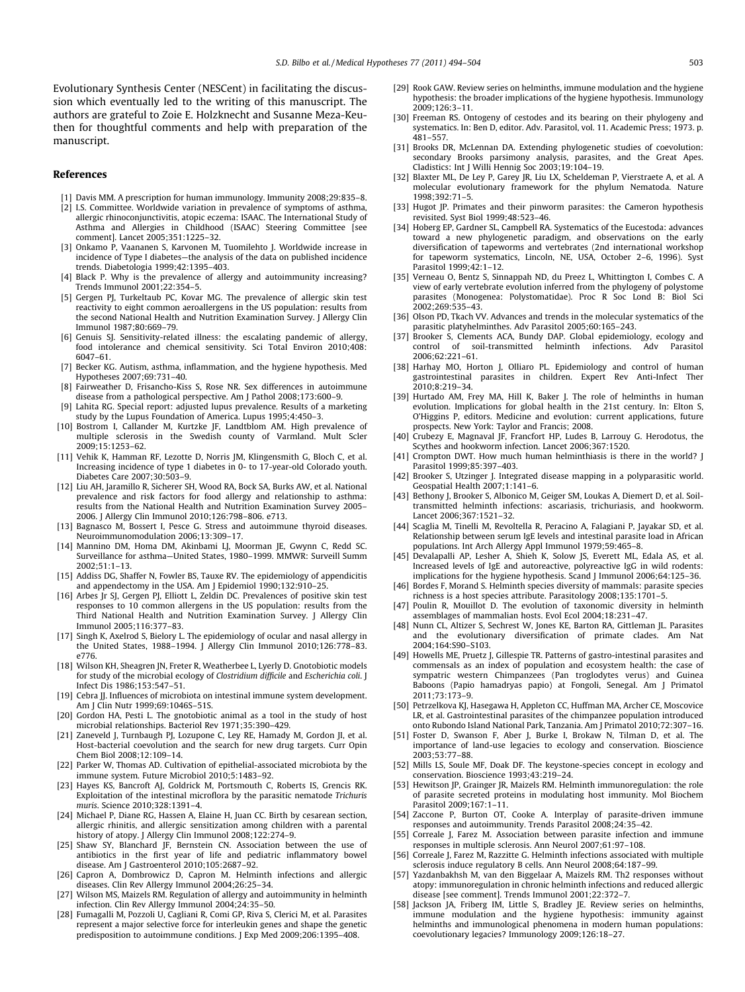<span id="page-9-0"></span>Evolutionary Synthesis Center (NESCent) in facilitating the discussion which eventually led to the writing of this manuscript. The authors are grateful to Zoie E. Holzknecht and Susanne Meza-Keuthen for thoughtful comments and help with preparation of the manuscript.

#### References

- [1] Davis MM. A prescription for human immunology. Immunity 2008;29:835–8.
- [2] I.S. Committee. Worldwide variation in prevalence of symptoms of asthma, allergic rhinoconjunctivitis, atopic eczema: ISAAC. The International Study of Asthma and Allergies in Childhood (ISAAC) Steering Committee [see comment]. Lancet 2005;351:1225–32.
- [3] Onkamo P, Vaananen S, Karvonen M, Tuomilehto J. Worldwide increase in incidence of Type I diabetes—the analysis of the data on published incidence trends. Diabetologia 1999;42:1395–403.
- [4] Black P. Why is the prevalence of allergy and autoimmunity increasing? Trends Immunol 2001;22:354–5.
- [5] Gergen PJ, Turkeltaub PC, Kovar MG. The prevalence of allergic skin test reactivity to eight common aeroallergens in the US population: results from the second National Health and Nutrition Examination Survey. J Allergy Clin Immunol 1987;80:669–79.
- [6] Genuis SJ. Sensitivity-related illness: the escalating pandemic of allergy, food intolerance and chemical sensitivity. Sci Total Environ 2010;408: 6047–61.
- [7] Becker KG. Autism, asthma, inflammation, and the hygiene hypothesis. Med Hypotheses 2007;69:731–40.
- [8] Fairweather D, Frisancho-Kiss S, Rose NR. Sex differences in autoimmune disease from a pathological perspective. Am J Pathol 2008;173:600–9.
- [9] Lahita RG. Special report: adjusted lupus prevalence. Results of a marketing study by the Lupus Foundation of America. Lupus 1995;4:450–3.
- [10] Bostrom I, Callander M, Kurtzke JF, Landtblom AM. High prevalence of multiple sclerosis in the Swedish county of Varmland. Mult Scler 2009;15:1253–62.
- [11] Vehik K, Hamman RF, Lezotte D, Norris JM, Klingensmith G, Bloch C, et al. Increasing incidence of type 1 diabetes in 0- to 17-year-old Colorado youth. Diabetes Care 2007;30:503–9.
- [12] Liu AH, Jaramillo R, Sicherer SH, Wood RA, Bock SA, Burks AW, et al. National prevalence and risk factors for food allergy and relationship to asthma: results from the National Health and Nutrition Examination Survey 2005– 2006. J Allergy Clin Immunol 2010;126:798–806. e713.
- [13] Bagnasco M, Bossert I, Pesce G. Stress and autoimmune thyroid diseases. Neuroimmunomodulation 2006;13:309–17.
- [14] Mannino DM, Homa DM, Akinbami LJ, Moorman JE, Gwynn C, Redd SC. Surveillance for asthma—United States, 1980–1999. MMWR: Surveill Summ 2002;51:1–13.
- [15] Addiss DG, Shaffer N, Fowler BS, Tauxe RV. The epidemiology of appendicitis and appendectomy in the USA. Am J Epidemiol 1990;132:910–25.
- [16] Arbes Jr SJ, Gergen PJ, Elliott L, Zeldin DC. Prevalences of positive skin test responses to 10 common allergens in the US population: results from the Third National Health and Nutrition Examination Survey. J Allergy Clin Immunol 2005;116:377–83.
- [17] Singh K, Axelrod S, Bielory L. The epidemiology of ocular and nasal allergy in the United States, 1988–1994. J Allergy Clin Immunol 2010;126:778–83. e776.
- [18] Wilson KH, Sheagren JN, Freter R, Weatherbee L, Lyerly D. Gnotobiotic models for study of the microbial ecology of Clostridium difficile and Escherichia coli. J Infect Dis 1986;153:547–51.
- [19] Cebra JJ. Influences of microbiota on intestinal immune system development. Am J Clin Nutr 1999;69:1046S–51S.
- [20] Gordon HA, Pesti L. The gnotobiotic animal as a tool in the study of host microbial relationships. Bacteriol Rev 1971;35:390–429.
- [21] Zaneveld J, Turnbaugh PJ, Lozupone C, Ley RE, Hamady M, Gordon JI, et al. Host-bacterial coevolution and the search for new drug targets. Curr Opin Chem Biol 2008;12:109–14.
- [22] Parker W, Thomas AD. Cultivation of epithelial-associated microbiota by the immune system. Future Microbiol 2010;5:1483–92.
- [23] Hayes KS, Bancroft AJ, Goldrick M, Portsmouth C, Roberts IS, Grencis RK. Exploitation of the intestinal microflora by the parasitic nematode Trichuris muris. Science 2010;328:1391–4.
- [24] Michael P, Diane RG, Hassen A, Elaine H, Juan CC. Birth by cesarean section, allergic rhinitis, and allergic sensitization among children with a parental history of atopy. J Allergy Clin Immunol 2008;122:274–9.
- [25] Shaw SY, Blanchard JF, Bernstein CN. Association between the use of antibiotics in the first year of life and pediatric inflammatory bowel disease. Am J Gastroenterol 2010;105:2687–92.
- [26] Capron A, Dombrowicz D, Capron M. Helminth infections and allergic diseases. Clin Rev Allergy Immunol 2004;26:25–34.
- [27] Wilson MS, Maizels RM. Regulation of allergy and autoimmunity in helminth infection. Clin Rev Allergy Immunol 2004;24:35–50.
- [28] Fumagalli M, Pozzoli U, Cagliani R, Comi GP, Riva S, Clerici M, et al. Parasites represent a major selective force for interleukin genes and shape the genetic predisposition to autoimmune conditions. J Exp Med 2009;206:1395–408.
- [29] Rook GAW. Review series on helminths, immune modulation and the hygiene hypothesis: the broader implications of the hygiene hypothesis. Immunology 2009;126:3–11.
- [30] Freeman RS. Ontogeny of cestodes and its bearing on their phylogeny and systematics. In: Ben D, editor. Adv. Parasitol, vol. 11. Academic Press; 1973. p. 481–557.
- [31] Brooks DR, McLennan DA. Extending phylogenetic studies of coevolution: secondary Brooks parsimony analysis, parasites, and the Great Apes. Cladistics: Int J Willi Hennig Soc 2003;19:104–19.
- [32] Blaxter ML, De Ley P, Garey JR, Liu LX, Scheldeman P, Vierstraete A, et al. A molecular evolutionary framework for the phylum Nematoda. Nature 1998;392:71–5.
- [33] Hugot JP. Primates and their pinworm parasites: the Cameron hypothesis revisited. Syst Biol 1999;48:523–46.
- [34] Hoberg EP, Gardner SL, Campbell RA. Systematics of the Eucestoda: advances toward a new phylogenetic paradigm, and observations on the early diversification of tapeworms and vertebrates (2nd international workshop for tapeworm systematics, Lincoln, NE, USA, October 2–6, 1996). Syst Parasitol 1999;42:1–12.
- [35] Verneau O, Bentz S, Sinnappah ND, du Preez L, Whittington I, Combes C. A view of early vertebrate evolution inferred from the phylogeny of polystome parasites (Monogenea: Polystomatidae). Proc R Soc Lond B: Biol Sci 2002;269:535–43.
- [36] Olson PD, Tkach VV. Advances and trends in the molecular systematics of the parasitic platyhelminthes. Adv Parasitol 2005;60:165–243.
- [37] Brooker S, Clements ACA, Bundy DAP. Global epidemiology, ecology and control of soil-transmitted helminth infections. Adv Parasitol control of soil-transmitted helminth infections. Adv Parasitol 2006;62:221–61.
- [38] Harhay MO, Horton J, Olliaro PL. Epidemiology and control of human gastrointestinal parasites in children. Expert Rev Anti-Infect Ther 2010;8:219–34.
- [39] Hurtado AM, Frey MA, Hill K, Baker J. The role of helminths in human evolution. Implications for global health in the 21st century. In: Elton S, O'Higgins P, editors. Medicine and evolution: current applications, future prospects. New York: Taylor and Francis; 2008.
- [40] Crubezy E, Magnaval JF, Francfort HP, Ludes B, Larrouy G. Herodotus, the Scythes and hookworm infection. Lancet 2006;367:1520.
- [41] Crompton DWT. How much human helminthiasis is there in the world? J Parasitol 1999;85:397–403.
- [42] Brooker S, Utzinger J. Integrated disease mapping in a polyparasitic world. Geospatial Health 2007;1:141–6.
- [43] Bethony J, Brooker S, Albonico M, Geiger SM, Loukas A, Diemert D, et al. Soiltransmitted helminth infections: ascariasis, trichuriasis, and hookworm. Lancet 2006;367:1521–32.
- [44] Scaglia M, Tinelli M, Revoltella R, Peracino A, Falagiani P, Jayakar SD, et al. Relationship between serum IgE levels and intestinal parasite load in African populations. Int Arch Allergy Appl Immunol 1979;59:465–8.
- [45] Devalapalli AP, Lesher A, Shieh K, Solow JS, Everett ML, Edala AS, et al. Increased levels of IgE and autoreactive, polyreactive IgG in wild rodents: implications for the hygiene hypothesis. Scand I Immunol 2006:64:125–36.
- [46] Bordes F, Morand S. Helminth species diversity of mammals: parasite species richness is a host species attribute. Parasitology 2008;135:1701–5.
- [47] Poulin R, Mouillot D. The evolution of taxonomic diversity in helminth assemblages of mammalian hosts. Evol Ecol 2004;18:231–47.
- [48] Nunn CL, Altizer S, Sechrest W, Jones KE, Barton RA, Gittleman JL. Parasites and the evolutionary diversification of primate clades. Am Nat 2004;164:S90–S103.
- [49] Howells ME, Pruetz J, Gillespie TR. Patterns of gastro-intestinal parasites and commensals as an index of population and ecosystem health: the case of sympatric western Chimpanzees (Pan troglodytes verus) and Guinea Baboons (Papio hamadryas papio) at Fongoli, Senegal. Am J Primatol  $2011:73:173-9$
- [50] Petrzelkova KJ, Hasegawa H, Appleton CC, Huffman MA, Archer CE, Moscovice LR, et al. Gastrointestinal parasites of the chimpanzee population introduced onto Rubondo Island National Park, Tanzania. Am J Primatol 2010;72:307–16.
- [51] Foster D, Swanson F, Aber J, Burke I, Brokaw N, Tilman D, et al. The importance of land-use legacies to ecology and conservation. Bioscience 2003;53:77–88.
- [52] Mills LS, Soule MF, Doak DF. The keystone-species concept in ecology and conservation. Bioscience 1993;43:219–24.
- [53] Hewitson JP, Grainger JR, Maizels RM. Helminth immunoregulation: the role of parasite secreted proteins in modulating host immunity. Mol Biochem Parasitol 2009;167:1–11.
- [54] Zaccone P, Burton OT, Cooke A. Interplay of parasite-driven immune responses and autoimmunity. Trends Parasitol 2008;24:35–42.
- [55] Correale J, Farez M. Association between parasite infection and immune responses in multiple sclerosis. Ann Neurol 2007;61:97–108.
- [56] Correale J, Farez M, Razzitte G. Helminth infections associated with multiple sclerosis induce regulatory B cells. Ann Neurol 2008;64:187–99.
- [57] Yazdanbakhsh M, van den Biggelaar A, Maizels RM. Th2 responses without atopy: immunoregulation in chronic helminth infections and reduced allergic disease [see comment]. Trends Immunol 2001;22:372–7.
- [58] Jackson JA, Friberg IM, Little S, Bradley JE. Review series on helminths, immune modulation and the hygiene hypothesis: immunity against helminths and immunological phenomena in modern human populations: coevolutionary legacies? Immunology 2009;126:18–27.